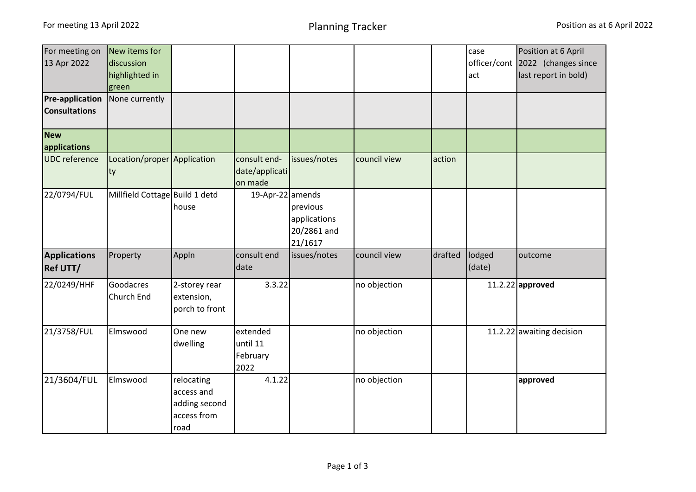| For meeting on         | New items for                  |                |                  |              |              |         | case         | Position at 6 April       |
|------------------------|--------------------------------|----------------|------------------|--------------|--------------|---------|--------------|---------------------------|
| 13 Apr 2022            | discussion                     |                |                  |              |              |         | officer/cont | 2022 (changes since       |
|                        | highlighted in                 |                |                  |              |              |         | act          | last report in bold)      |
|                        | green                          |                |                  |              |              |         |              |                           |
| <b>Pre-application</b> | None currently                 |                |                  |              |              |         |              |                           |
| <b>Consultations</b>   |                                |                |                  |              |              |         |              |                           |
| <b>New</b>             |                                |                |                  |              |              |         |              |                           |
| applications           |                                |                |                  |              |              |         |              |                           |
| <b>UDC</b> reference   | Location/proper Application    |                | consult end-     | issues/notes | council view | action  |              |                           |
|                        | ty                             |                | date/applicati   |              |              |         |              |                           |
|                        |                                |                | on made          |              |              |         |              |                           |
| 22/0794/FUL            | Millfield Cottage Build 1 detd |                | 19-Apr-22 amends |              |              |         |              |                           |
|                        |                                | house          |                  | previous     |              |         |              |                           |
|                        |                                |                |                  | applications |              |         |              |                           |
|                        |                                |                |                  | 20/2861 and  |              |         |              |                           |
|                        |                                |                |                  | 21/1617      |              |         |              |                           |
| <b>Applications</b>    | Property                       | Appln          | consult end      | issues/notes | council view | drafted | lodged       | outcome                   |
| <b>Ref UTT/</b>        |                                |                | date             |              |              |         | (date)       |                           |
| 22/0249/HHF            | Goodacres                      | 2-storey rear  | 3.3.22           |              | no objection |         |              | 11.2.22 approved          |
|                        | Church End                     | extension,     |                  |              |              |         |              |                           |
|                        |                                | porch to front |                  |              |              |         |              |                           |
| 21/3758/FUL            | Elmswood                       | One new        | extended         |              | no objection |         |              | 11.2.22 awaiting decision |
|                        |                                | dwelling       | until 11         |              |              |         |              |                           |
|                        |                                |                | February         |              |              |         |              |                           |
|                        |                                |                | 2022             |              |              |         |              |                           |
| 21/3604/FUL            | Elmswood                       | relocating     | 4.1.22           |              | no objection |         |              | approved                  |
|                        |                                | access and     |                  |              |              |         |              |                           |
|                        |                                | adding second  |                  |              |              |         |              |                           |
|                        |                                | access from    |                  |              |              |         |              |                           |
|                        |                                | road           |                  |              |              |         |              |                           |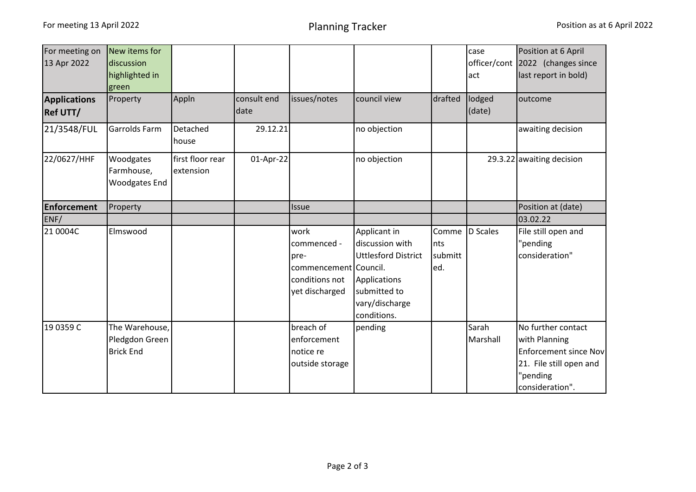| For meeting on<br>13 Apr 2022          | New items for<br>discussion                          |                               |                     |                                                                                          |                                                                                                                                |                                  | case<br>officer/cont | Position at 6 April<br>2022 (changes since                                                                             |
|----------------------------------------|------------------------------------------------------|-------------------------------|---------------------|------------------------------------------------------------------------------------------|--------------------------------------------------------------------------------------------------------------------------------|----------------------------------|----------------------|------------------------------------------------------------------------------------------------------------------------|
|                                        | highlighted in<br>green                              |                               |                     |                                                                                          |                                                                                                                                |                                  | act                  | last report in bold)                                                                                                   |
| <b>Applications</b><br><b>Ref UTT/</b> | Property                                             | Appln                         | consult end<br>date | issues/notes                                                                             | council view                                                                                                                   | drafted                          | lodged<br>(date)     | outcome                                                                                                                |
| 21/3548/FUL                            | <b>Garrolds Farm</b>                                 | Detached<br>house             | 29.12.21            |                                                                                          | no objection                                                                                                                   |                                  |                      | awaiting decision                                                                                                      |
| 22/0627/HHF                            | Woodgates<br>Farmhouse,<br>Woodgates End             | first floor rear<br>extension | 01-Apr-22           |                                                                                          | no objection                                                                                                                   |                                  |                      | 29.3.22 awaiting decision                                                                                              |
| <b>Enforcement</b>                     | Property                                             |                               |                     | Issue                                                                                    |                                                                                                                                |                                  |                      | Position at (date)                                                                                                     |
| ENF/                                   |                                                      |                               |                     |                                                                                          |                                                                                                                                |                                  |                      | 03.02.22                                                                                                               |
| 21 0004C                               | Elmswood                                             |                               |                     | work<br>commenced -<br>pre-<br>commencement Council.<br>conditions not<br>yet discharged | Applicant in<br>discussion with<br><b>Uttlesford District</b><br>Applications<br>submitted to<br>vary/discharge<br>conditions. | Comme<br>Ints<br>submitt<br>led. | D Scales             | File still open and<br>"pending<br>consideration"                                                                      |
| 19 0359 C                              | The Warehouse,<br>Pledgdon Green<br><b>Brick End</b> |                               |                     | breach of<br>enforcement<br>notice re<br>outside storage                                 | pending                                                                                                                        |                                  | Sarah<br>Marshall    | No further contact<br>with Planning<br>Enforcement since Nov<br>21. File still open and<br>"pending<br>consideration". |